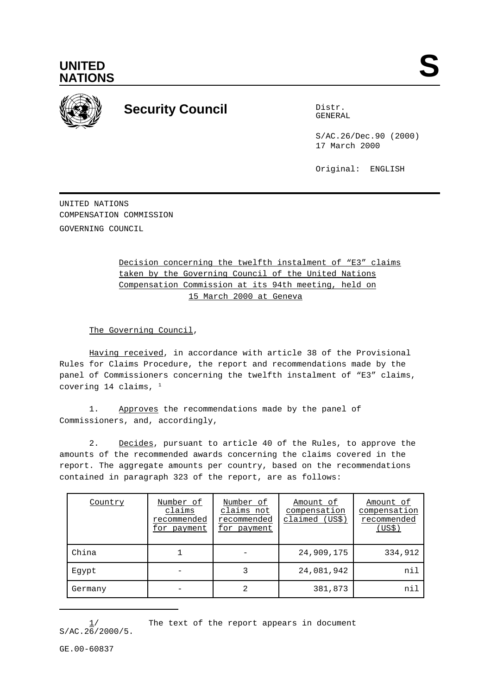



## **Security Council** Distribution Distribution

GENERAL

S/AC.26/Dec.90 (2000) 17 March 2000

Original: ENGLISH

UNITED NATIONS COMPENSATION COMMISSION GOVERNING COUNCIL

> Decision concerning the twelfth instalment of "E3" claims taken by the Governing Council of the United Nations Compensation Commission at its 94th meeting, held on 15 March 2000 at Geneva

The Governing Council,

Having received, in accordance with article 38 of the Provisional Rules for Claims Procedure, the report and recommendations made by the panel of Commissioners concerning the twelfth instalment of "E3" claims, covering 14 claims,  $1$ 

1. Approves the recommendations made by the panel of Commissioners, and, accordingly,

2. Decides, pursuant to article 40 of the Rules, to approve the amounts of the recommended awards concerning the claims covered in the report. The aggregate amounts per country, based on the recommendations contained in paragraph 323 of the report, are as follows:

| Country | Number of<br>claims<br>recommended<br>for payment | Number of<br>claims not<br>recommended<br>for payment | Amount of<br>compensation<br>claimed (US\$) | Amount of<br>compensation<br>recommended<br>(US\$) |
|---------|---------------------------------------------------|-------------------------------------------------------|---------------------------------------------|----------------------------------------------------|
| China   |                                                   |                                                       | 24,909,175                                  | 334,912                                            |
| Eqypt   |                                                   |                                                       | 24,081,942                                  | nil                                                |
| Germany |                                                   | 2                                                     | 381,873                                     | nil                                                |

The text of the report appears in document  $S/AC.26/2000/5.$ 

GE.00-60837